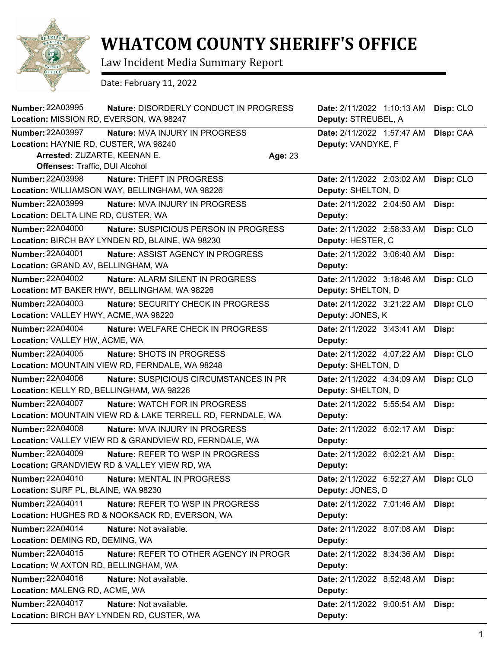

## **WHATCOM COUNTY SHERIFF'S OFFICE**

Law Incident Media Summary Report

Date: February 11, 2022

| <b>Number: 22A03995</b><br>Location: MISSION RD, EVERSON, WA 98247                        | Nature: DISORDERLY CONDUCT IN PROGRESS                                                          |         | Date: 2/11/2022 1:10:13 AM<br>Deputy: STREUBEL, A | Disp: CLO |
|-------------------------------------------------------------------------------------------|-------------------------------------------------------------------------------------------------|---------|---------------------------------------------------|-----------|
| Number: 22A03997<br>Location: HAYNIE RD, CUSTER, WA 98240<br>Arrested: ZUZARTE, KEENAN E. | Nature: MVA INJURY IN PROGRESS                                                                  | Age: 23 | Date: 2/11/2022 1:57:47 AM<br>Deputy: VANDYKE, F  | Disp: CAA |
| <b>Offenses: Traffic, DUI Alcohol</b>                                                     |                                                                                                 |         |                                                   |           |
| <b>Number: 22A03998</b>                                                                   | Nature: THEFT IN PROGRESS<br>Location: WILLIAMSON WAY, BELLINGHAM, WA 98226                     |         | Date: 2/11/2022 2:03:02 AM<br>Deputy: SHELTON, D  | Disp: CLO |
| <b>Number: 22A03999</b>                                                                   | Nature: MVA INJURY IN PROGRESS                                                                  |         | Date: 2/11/2022 2:04:50 AM                        | Disp:     |
| Location: DELTA LINE RD, CUSTER, WA                                                       |                                                                                                 |         | Deputy:                                           |           |
| <b>Number: 22A04000</b>                                                                   | <b>Nature: SUSPICIOUS PERSON IN PROGRESS</b><br>Location: BIRCH BAY LYNDEN RD, BLAINE, WA 98230 |         | Date: 2/11/2022 2:58:33 AM<br>Deputy: HESTER, C   | Disp: CLO |
| <b>Number: 22A04001</b><br>Location: GRAND AV, BELLINGHAM, WA                             | Nature: ASSIST AGENCY IN PROGRESS                                                               |         | Date: 2/11/2022 3:06:40 AM<br>Deputy:             | Disp:     |
| <b>Number: 22A04002</b>                                                                   | <b>Nature: ALARM SILENT IN PROGRESS</b><br>Location: MT BAKER HWY, BELLINGHAM, WA 98226         |         | Date: 2/11/2022 3:18:46 AM<br>Deputy: SHELTON, D  | Disp: CLO |
| <b>Number: 22A04003</b><br>Location: VALLEY HWY, ACME, WA 98220                           | Nature: SECURITY CHECK IN PROGRESS                                                              |         | Date: 2/11/2022 3:21:22 AM<br>Deputy: JONES, K    | Disp: CLO |
| <b>Number: 22A04004</b><br>Location: VALLEY HW, ACME, WA                                  | Nature: WELFARE CHECK IN PROGRESS                                                               |         | Date: 2/11/2022 3:43:41 AM<br>Deputy:             | Disp:     |
| <b>Number: 22A04005</b>                                                                   | Nature: SHOTS IN PROGRESS<br>Location: MOUNTAIN VIEW RD, FERNDALE, WA 98248                     |         | Date: 2/11/2022 4:07:22 AM<br>Deputy: SHELTON, D  | Disp: CLO |
| <b>Number: 22A04006</b>                                                                   | Nature: SUSPICIOUS CIRCUMSTANCES IN PR                                                          |         | Date: 2/11/2022 4:34:09 AM                        | Disp: CLO |
| Location: KELLY RD, BELLINGHAM, WA 98226                                                  |                                                                                                 |         | Deputy: SHELTON, D                                |           |
| <b>Number: 22A04007</b>                                                                   | Nature: WATCH FOR IN PROGRESS<br>Location: MOUNTAIN VIEW RD & LAKE TERRELL RD, FERNDALE, WA     |         | Date: 2/11/2022 5:55:54 AM<br>Deputy:             | Disp:     |
| <b>Number: 22A04008</b>                                                                   | Nature: MVA INJURY IN PROGRESS<br>Location: VALLEY VIEW RD & GRANDVIEW RD, FERNDALE, WA         |         | Date: 2/11/2022 6:02:17 AM<br>Deputy:             | Disp:     |
| <b>Number: 22A04009</b>                                                                   | Nature: REFER TO WSP IN PROGRESS<br><b>Location: GRANDVIEW RD &amp; VALLEY VIEW RD. WA</b>      |         | Date: 2/11/2022 6:02:21 AM<br>Deputy:             | Disp:     |
| <b>Number: 22A04010</b><br>Location: SURF PL, BLAINE, WA 98230                            | Nature: MENTAL IN PROGRESS                                                                      |         | Date: 2/11/2022 6:52:27 AM<br>Deputy: JONES, D    | Disp: CLO |
| Number: 22A04011                                                                          | Nature: REFER TO WSP IN PROGRESS<br>Location: HUGHES RD & NOOKSACK RD, EVERSON, WA              |         | Date: 2/11/2022 7:01:46 AM<br>Deputy:             | Disp:     |
| <b>Number: 22A04014</b><br>Location: DEMING RD, DEMING, WA                                | Nature: Not available.                                                                          |         | Date: 2/11/2022 8:07:08 AM<br>Deputy:             | Disp:     |
| Number: 22A04015<br>Location: W AXTON RD, BELLINGHAM, WA                                  | Nature: REFER TO OTHER AGENCY IN PROGR                                                          |         | Date: 2/11/2022 8:34:36 AM<br>Deputy:             | Disp:     |
| Number: 22A04016<br>Location: MALENG RD, ACME, WA                                         | Nature: Not available.                                                                          |         | Date: 2/11/2022 8:52:48 AM<br>Deputy:             | Disp:     |
| Number: 22A04017                                                                          | Nature: Not available.<br>Location: BIRCH BAY LYNDEN RD, CUSTER, WA                             |         | Date: 2/11/2022 9:00:51 AM<br>Deputy:             | Disp:     |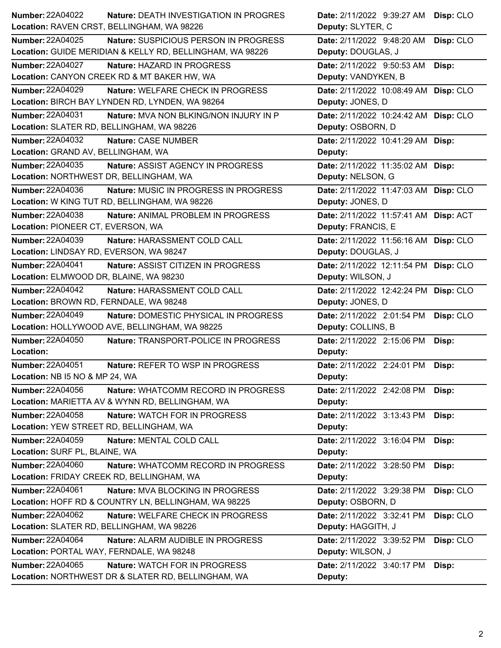| <b>Number: 22A04022</b>                   | <b>Nature: DEATH INVESTIGATION IN PROGRES</b>             | Date: 2/11/2022 9:39:27 AM            | Disp: CLO |
|-------------------------------------------|-----------------------------------------------------------|---------------------------------------|-----------|
|                                           | Location: RAVEN CRST, BELLINGHAM, WA 98226                | Deputy: SLYTER, C                     |           |
| <b>Number: 22A04025</b>                   | Nature: SUSPICIOUS PERSON IN PROGRESS                     | Date: 2/11/2022 9:48:20 AM            | Disp: CLO |
|                                           | Location: GUIDE MERIDIAN & KELLY RD, BELLINGHAM, WA 98226 | Deputy: DOUGLAS, J                    |           |
| <b>Number: 22A04027</b>                   | Nature: HAZARD IN PROGRESS                                | Date: 2/11/2022 9:50:53 AM            | Disp:     |
|                                           | Location: CANYON CREEK RD & MT BAKER HW, WA               | Deputy: VANDYKEN, B                   |           |
| <b>Number: 22A04029</b>                   | Nature: WELFARE CHECK IN PROGRESS                         | Date: 2/11/2022 10:08:49 AM Disp: CLO |           |
|                                           | Location: BIRCH BAY LYNDEN RD, LYNDEN, WA 98264           | Deputy: JONES, D                      |           |
| <b>Number: 22A04031</b>                   | Nature: MVA NON BLKING/NON INJURY IN P                    | Date: 2/11/2022 10:24:42 AM Disp: CLO |           |
| Location: SLATER RD, BELLINGHAM, WA 98226 |                                                           | Deputy: OSBORN, D                     |           |
| Number: 22A04032                          | Nature: CASE NUMBER                                       | Date: 2/11/2022 10:41:29 AM Disp:     |           |
| Location: GRAND AV, BELLINGHAM, WA        |                                                           | Deputy:                               |           |
| Number: 22A04035                          | Nature: ASSIST AGENCY IN PROGRESS                         | Date: 2/11/2022 11:35:02 AM Disp:     |           |
| Location: NORTHWEST DR, BELLINGHAM, WA    |                                                           | Deputy: NELSON, G                     |           |
| Number: 22A04036                          | Nature: MUSIC IN PROGRESS IN PROGRESS                     | Date: 2/11/2022 11:47:03 AM Disp: CLO |           |
|                                           | Location: W KING TUT RD, BELLINGHAM, WA 98226             | Deputy: JONES, D                      |           |
| <b>Number: 22A04038</b>                   | Nature: ANIMAL PROBLEM IN PROGRESS                        | Date: 2/11/2022 11:57:41 AM Disp: ACT |           |
| Location: PIONEER CT, EVERSON, WA         |                                                           | Deputy: FRANCIS, E                    |           |
| Number: 22A04039                          | Nature: HARASSMENT COLD CALL                              | Date: 2/11/2022 11:56:16 AM Disp: CLO |           |
| Location: LINDSAY RD, EVERSON, WA 98247   |                                                           | Deputy: DOUGLAS, J                    |           |
| <b>Number: 22A04041</b>                   | <b>Nature: ASSIST CITIZEN IN PROGRESS</b>                 | Date: 2/11/2022 12:11:54 PM Disp: CLO |           |
| Location: ELMWOOD DR, BLAINE, WA 98230    |                                                           | Deputy: WILSON, J                     |           |
| Number: 22A04042                          | Nature: HARASSMENT COLD CALL                              | Date: 2/11/2022 12:42:24 PM Disp: CLO |           |
| Location: BROWN RD, FERNDALE, WA 98248    |                                                           | Deputy: JONES, D                      |           |
| <b>Number: 22A04049</b>                   | Nature: DOMESTIC PHYSICAL IN PROGRESS                     | Date: 2/11/2022 2:01:54 PM            | Disp: CLO |
|                                           | Location: HOLLYWOOD AVE, BELLINGHAM, WA 98225             | Deputy: COLLINS, B                    |           |
| <b>Number: 22A04050</b>                   | Nature: TRANSPORT-POLICE IN PROGRESS                      | Date: 2/11/2022 2:15:06 PM            | Disp:     |
| Location:                                 |                                                           | Deputy:                               |           |
| <b>Number: 22A04051</b>                   | Nature: REFER TO WSP IN PROGRESS                          | Date: 2/11/2022 2:24:01 PM            | Disp:     |
| Location: NB I5 NO & MP 24, WA            |                                                           | Deputy:                               |           |
| <b>Number: 22A04056</b>                   | Nature: WHATCOMM RECORD IN PROGRESS                       | Date: 2/11/2022 2:42:08 PM            | Disp:     |
|                                           | Location: MARIETTA AV & WYNN RD, BELLINGHAM, WA           | Deputy:                               |           |
| Number: 22A04058                          | Nature: WATCH FOR IN PROGRESS                             | Date: 2/11/2022 3:13:43 PM            | Disp:     |
| Location: YEW STREET RD, BELLINGHAM, WA   |                                                           | Deputy:                               |           |
| Number: 22A04059                          | Nature: MENTAL COLD CALL                                  | Date: 2/11/2022 3:16:04 PM            | Disp:     |
| Location: SURF PL, BLAINE, WA             |                                                           | Deputy:                               |           |
| Number: 22A04060                          | Nature: WHATCOMM RECORD IN PROGRESS                       | Date: 2/11/2022 3:28:50 PM            | Disp:     |
|                                           | Location: FRIDAY CREEK RD, BELLINGHAM, WA                 | Deputy:                               |           |
| Number: 22A04061                          | Nature: MVA BLOCKING IN PROGRESS                          | Date: 2/11/2022 3:29:38 PM            | Disp: CLO |
|                                           | Location: HOFF RD & COUNTRY LN, BELLINGHAM, WA 98225      | Deputy: OSBORN, D                     |           |
| <b>Number: 22A04062</b>                   | Nature: WELFARE CHECK IN PROGRESS                         | Date: 2/11/2022 3:32:41 PM            | Disp: CLO |
| Location: SLATER RD, BELLINGHAM, WA 98226 |                                                           | Deputy: HAGGITH, J                    |           |
| Number: 22A04064                          | Nature: ALARM AUDIBLE IN PROGRESS                         | Date: 2/11/2022 3:39:52 PM            | Disp: CLO |
| Location: PORTAL WAY, FERNDALE, WA 98248  |                                                           | Deputy: WILSON, J                     |           |
| <b>Number: 22A04065</b>                   | Nature: WATCH FOR IN PROGRESS                             | Date: 2/11/2022 3:40:17 PM            | Disp:     |
|                                           | Location: NORTHWEST DR & SLATER RD, BELLINGHAM, WA        | Deputy:                               |           |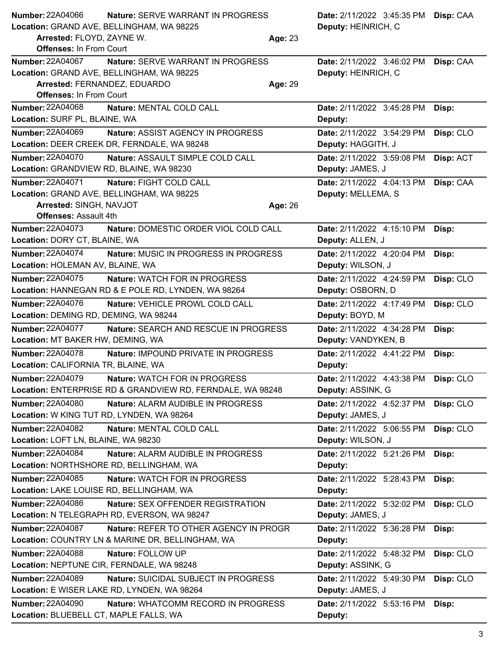| <b>Number: 22A04066</b>                                  | <b>Nature: SERVE WARRANT IN PROGRESS</b>                                            |         | Date: 2/11/2022 3:45:35 PM Disp: CAA            |           |
|----------------------------------------------------------|-------------------------------------------------------------------------------------|---------|-------------------------------------------------|-----------|
|                                                          | Location: GRAND AVE, BELLINGHAM, WA 98225                                           |         | Deputy: HEINRICH, C                             |           |
| Arrested: FLOYD, ZAYNE W.                                |                                                                                     | Age: 23 |                                                 |           |
| <b>Offenses: In From Court</b>                           |                                                                                     |         |                                                 |           |
| <b>Number: 22A04067</b>                                  | Nature: SERVE WARRANT IN PROGRESS                                                   |         | Date: 2/11/2022 3:46:02 PM                      | Disp: CAA |
|                                                          | Location: GRAND AVE, BELLINGHAM, WA 98225                                           |         | Deputy: HEINRICH, C                             |           |
| Arrested: FERNANDEZ, EDUARDO                             |                                                                                     | Age: 29 |                                                 |           |
| <b>Offenses: In From Court</b>                           |                                                                                     |         |                                                 |           |
| <b>Number: 22A04068</b>                                  | Nature: MENTAL COLD CALL                                                            |         | Date: 2/11/2022 3:45:28 PM                      | Disp:     |
| Location: SURF PL, BLAINE, WA                            |                                                                                     |         | Deputy:                                         |           |
| Number: 22A04069                                         | Nature: ASSIST AGENCY IN PROGRESS                                                   |         | Date: 2/11/2022 3:54:29 PM                      | Disp: CLO |
|                                                          | Location: DEER CREEK DR, FERNDALE, WA 98248                                         |         | Deputy: HAGGITH, J                              |           |
| <b>Number: 22A04070</b>                                  | Nature: ASSAULT SIMPLE COLD CALL                                                    |         | Date: 2/11/2022 3:59:08 PM                      | Disp: ACT |
| Location: GRANDVIEW RD, BLAINE, WA 98230                 |                                                                                     |         | Deputy: JAMES, J                                |           |
| <b>Number: 22A04071</b>                                  | Nature: FIGHT COLD CALL                                                             |         | Date: 2/11/2022 4:04:13 PM                      | Disp: CAA |
|                                                          | Location: GRAND AVE, BELLINGHAM, WA 98225                                           |         | Deputy: MELLEMA, S                              |           |
| Arrested: SINGH, NAVJOT                                  |                                                                                     | Age: 26 |                                                 |           |
| <b>Offenses: Assault 4th</b>                             |                                                                                     |         |                                                 |           |
| <b>Number: 22A04073</b><br>Location: DORY CT, BLAINE, WA | Nature: DOMESTIC ORDER VIOL COLD CALL                                               |         | Date: 2/11/2022 4:15:10 PM<br>Deputy: ALLEN, J  | Disp:     |
| <b>Number: 22A04074</b>                                  | Nature: MUSIC IN PROGRESS IN PROGRESS                                               |         | Date: 2/11/2022 4:20:04 PM                      | Disp:     |
| Location: HOLEMAN AV, BLAINE, WA                         |                                                                                     |         | Deputy: WILSON, J                               |           |
| <b>Number: 22A04075</b>                                  | Nature: WATCH FOR IN PROGRESS                                                       |         | Date: 2/11/2022 4:24:59 PM                      | Disp: CLO |
|                                                          | Location: HANNEGAN RD & E POLE RD, LYNDEN, WA 98264                                 |         | Deputy: OSBORN, D                               |           |
| <b>Number: 22A04076</b>                                  | Nature: VEHICLE PROWL COLD CALL                                                     |         | Date: 2/11/2022 4:17:49 PM                      | Disp: CLO |
| Location: DEMING RD, DEMING, WA 98244                    |                                                                                     |         | Deputy: BOYD, M                                 |           |
| <b>Number: 22A04077</b>                                  | Nature: SEARCH AND RESCUE IN PROGRESS                                               |         | Date: 2/11/2022 4:34:28 PM                      | Disp:     |
| Location: MT BAKER HW, DEMING, WA                        |                                                                                     |         | Deputy: VANDYKEN, B                             |           |
| <b>Number: 22A04078</b>                                  | Nature: IMPOUND PRIVATE IN PROGRESS                                                 |         | Date: 2/11/2022 4:41:22 PM                      | Disp:     |
| Location: CALIFORNIA TR, BLAINE, WA                      |                                                                                     |         | Deputy:                                         |           |
| <b>Number: 22A04079</b>                                  | Nature: WATCH FOR IN PROGRESS                                                       |         | Date: 2/11/2022 4:43:38 PM Disp: CLO            |           |
|                                                          | Location: ENTERPRISE RD & GRANDVIEW RD, FERNDALE, WA 98248                          |         | Deputy: ASSINK, G                               |           |
| <b>Number: 22A04080</b>                                  | Nature: ALARM AUDIBLE IN PROGRESS                                                   |         | Date: 2/11/2022 4:52:37 PM                      | Disp: CLO |
| Location: W KING TUT RD, LYNDEN, WA 98264                |                                                                                     |         | Deputy: JAMES, J                                |           |
| <b>Number: 22A04082</b>                                  | Nature: MENTAL COLD CALL                                                            |         | Date: 2/11/2022 5:06:55 PM                      | Disp: CLO |
| Location: LOFT LN, BLAINE, WA 98230                      |                                                                                     |         | Deputy: WILSON, J                               |           |
| Number: 22A04084                                         | Nature: ALARM AUDIBLE IN PROGRESS                                                   |         | Date: 2/11/2022 5:21:26 PM                      | Disp:     |
|                                                          | Location: NORTHSHORE RD, BELLINGHAM, WA                                             |         | Deputy:                                         |           |
| <b>Number: 22A04085</b>                                  | Nature: WATCH FOR IN PROGRESS                                                       |         | Date: 2/11/2022 5:28:43 PM                      | Disp:     |
| Location: LAKE LOUISE RD, BELLINGHAM, WA                 |                                                                                     |         | Deputy:                                         |           |
| Number: 22A04086                                         | Nature: SEX OFFENDER REGISTRATION                                                   |         | Date: 2/11/2022 5:32:02 PM                      | Disp: CLO |
|                                                          | Location: N TELEGRAPH RD, EVERSON, WA 98247                                         |         | Deputy: JAMES, J                                |           |
| Number: 22A04087                                         | Nature: REFER TO OTHER AGENCY IN PROGR                                              |         | Date: 2/11/2022 5:36:28 PM                      | Disp:     |
|                                                          | Location: COUNTRY LN & MARINE DR, BELLINGHAM, WA                                    |         | Deputy:                                         |           |
| <b>Number: 22A04088</b>                                  | Nature: FOLLOW UP                                                                   |         |                                                 |           |
|                                                          | Location: NEPTUNE CIR, FERNDALE, WA 98248                                           |         | Date: 2/11/2022 5:48:32 PM<br>Deputy: ASSINK, G | Disp: CLO |
| Number: 22A04089                                         |                                                                                     |         |                                                 |           |
|                                                          | Nature: SUICIDAL SUBJECT IN PROGRESS<br>Location: E WISER LAKE RD, LYNDEN, WA 98264 |         | Date: 2/11/2022 5:49:30 PM                      | Disp: CLO |
|                                                          |                                                                                     |         | Deputy: JAMES, J                                |           |
| Number: 22A04090                                         | Nature: WHATCOMM RECORD IN PROGRESS                                                 |         | Date: 2/11/2022 5:53:16 PM                      | Disp:     |
| Location: BLUEBELL CT, MAPLE FALLS, WA                   |                                                                                     |         | Deputy:                                         |           |